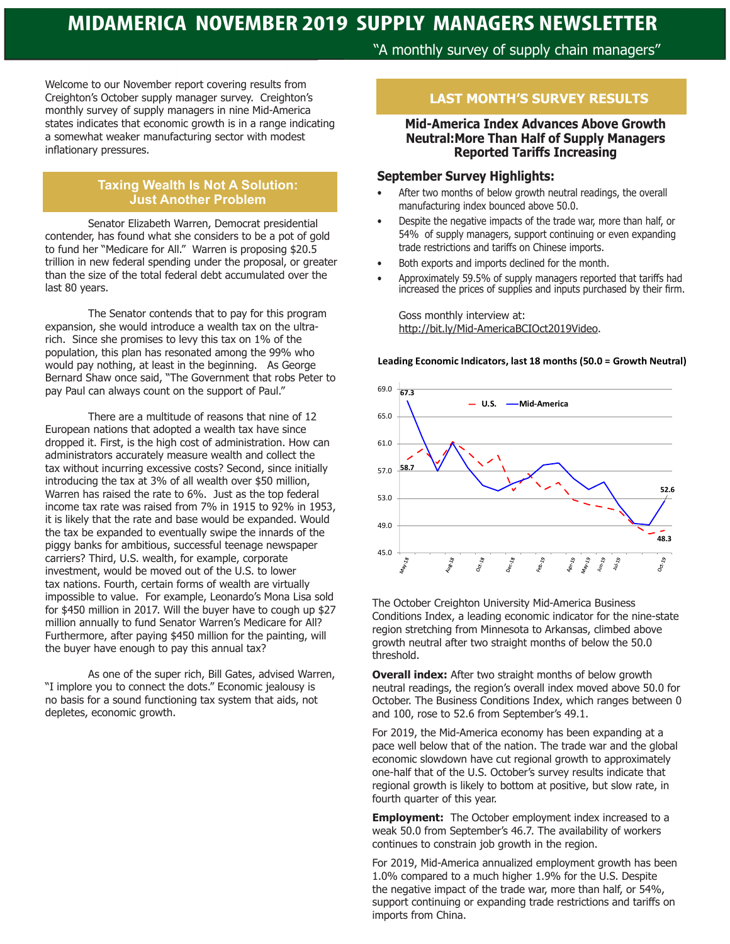# **MIDAMERICA NOVEMBER 2019 SUPPLY MANAGERS NEWSLETTER**

Welcome to our November report covering results from Creighton's October supply manager survey. Creighton's monthly survey of supply managers in nine Mid-America states indicates that economic growth is in a range indicating a somewhat weaker manufacturing sector with modest inflationary pressures.

#### **Taxing Wealth Is Not A Solution: Just Another Problem**

Senator Elizabeth Warren, Democrat presidential contender, has found what she considers to be a pot of gold to fund her "Medicare for All." Warren is proposing \$20.5 trillion in new federal spending under the proposal, or greater than the size of the total federal debt accumulated over the last 80 years.

The Senator contends that to pay for this program expansion, she would introduce a wealth tax on the ultrarich. Since she promises to levy this tax on 1% of the population, this plan has resonated among the 99% who would pay nothing, at least in the beginning. As George Bernard Shaw once said, "The Government that robs Peter to pay Paul can always count on the support of Paul."

There are a multitude of reasons that nine of 12 European nations that adopted a wealth tax have since dropped it. First, is the high cost of administration. How can administrators accurately measure wealth and collect the tax without incurring excessive costs? Second, since initially introducing the tax at 3% of all wealth over \$50 million, Warren has raised the rate to 6%. Just as the top federal income tax rate was raised from 7% in 1915 to 92% in 1953, it is likely that the rate and base would be expanded. Would the tax be expanded to eventually swipe the innards of the piggy banks for ambitious, successful teenage newspaper carriers? Third, U.S. wealth, for example, corporate investment, would be moved out of the U.S. to lower tax nations. Fourth, certain forms of wealth are virtually impossible to value. For example, Leonardo's Mona Lisa sold for \$450 million in 2017. Will the buyer have to cough up \$27 million annually to fund Senator Warren's Medicare for All? Furthermore, after paying \$450 million for the painting, will the buyer have enough to pay this annual tax?

As one of the super rich, Bill Gates, advised Warren, "I implore you to connect the dots." Economic jealousy is no basis for a sound functioning tax system that aids, not depletes, economic growth.

# "A monthly survey of supply chain managers"

# **LAST MONTH'S SURVEY RESULTS**

#### **Mid-America Index Advances Above Growth Neutral:More Than Half of Supply Managers Reported Tariffs Increasing**

#### **September Survey Highlights:**

- After two months of below growth neutral readings, the overall manufacturing index bounced above 50.0.
- Despite the negative impacts of the trade war, more than half, or 54% of supply managers, support continuing or even expanding trade restrictions and tariffs on Chinese imports.
- Both exports and imports declined for the month.
- Approximately 59.5% of supply managers reported that tariffs had increased the prices of supplies and inputs purchased by their firm.

Goss monthly interview at: http://bit.ly/Mid-AmericaBCIOct2019Video.

**Leading Economic Indicators, last 18 months (50.0 = Growth Neutral)**



The October Creighton University Mid-America Business Conditions Index, a leading economic indicator for the nine-state region stretching from Minnesota to Arkansas, climbed above growth neutral after two straight months of below the 50.0 threshold.

**Overall index:** After two straight months of below growth neutral readings, the region's overall index moved above 50.0 for October. The Business Conditions Index, which ranges between 0 and 100, rose to 52.6 from September's 49.1.

For 2019, the Mid-America economy has been expanding at a pace well below that of the nation. The trade war and the global economic slowdown have cut regional growth to approximately one-half that of the U.S. October's survey results indicate that regional growth is likely to bottom at positive, but slow rate, in fourth quarter of this year.

**Employment:** The October employment index increased to a weak 50.0 from September's 46.7. The availability of workers continues to constrain job growth in the region.

For 2019, Mid-America annualized employment growth has been 1.0% compared to a much higher 1.9% for the U.S. Despite the negative impact of the trade war, more than half, or 54%, support continuing or expanding trade restrictions and tariffs on imports from China.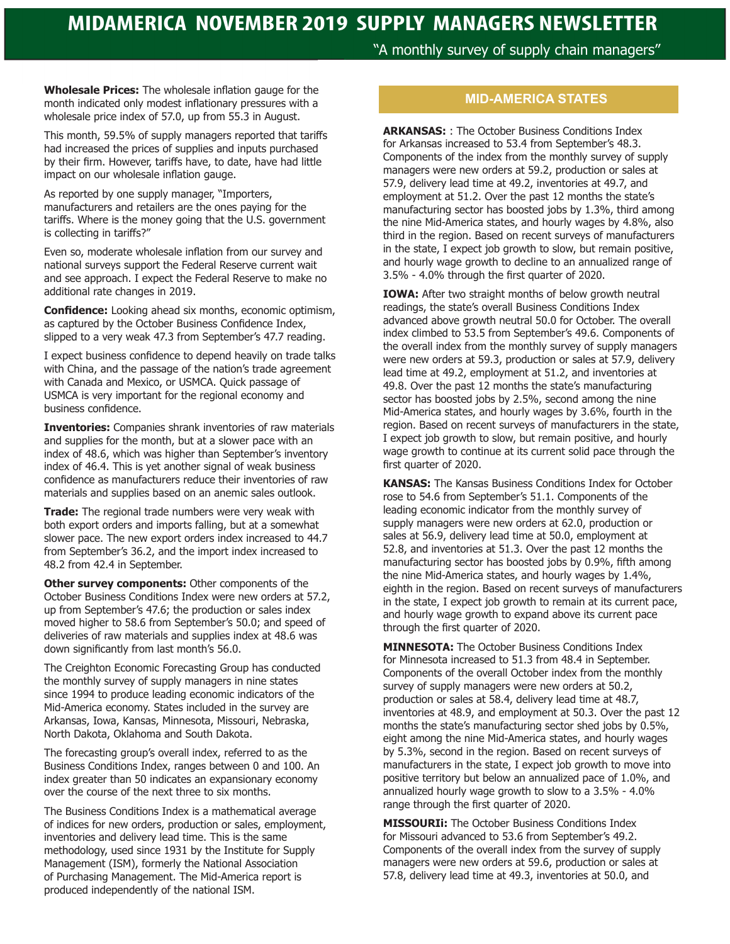"A monthly survey of supply chain managers"

**Wholesale Prices:** The wholesale inflation gauge for the month indicated only modest inflationary pressures with a wholesale price index of 57.0, up from 55.3 in August.

This month, 59.5% of supply managers reported that tariffs had increased the prices of supplies and inputs purchased by their firm. However, tariffs have, to date, have had little impact on our wholesale inflation gauge.

As reported by one supply manager, "Importers, manufacturers and retailers are the ones paying for the tariffs. Where is the money going that the U.S. government is collecting in tariffs?"

Even so, moderate wholesale inflation from our survey and national surveys support the Federal Reserve current wait and see approach. I expect the Federal Reserve to make no additional rate changes in 2019.

**Confidence:** Looking ahead six months, economic optimism, as captured by the October Business Confidence Index, slipped to a very weak 47.3 from September's 47.7 reading.

I expect business confidence to depend heavily on trade talks with China, and the passage of the nation's trade agreement with Canada and Mexico, or USMCA. Quick passage of USMCA is very important for the regional economy and business confidence.

**Inventories:** Companies shrank inventories of raw materials and supplies for the month, but at a slower pace with an index of 48.6, which was higher than September's inventory index of 46.4. This is yet another signal of weak business confidence as manufacturers reduce their inventories of raw materials and supplies based on an anemic sales outlook.

**Trade:** The regional trade numbers were very weak with both export orders and imports falling, but at a somewhat slower pace. The new export orders index increased to 44.7 from September's 36.2, and the import index increased to 48.2 from 42.4 in September.

**Other survey components: Other components of the** October Business Conditions Index were new orders at 57.2, up from September's 47.6; the production or sales index moved higher to 58.6 from September's 50.0; and speed of deliveries of raw materials and supplies index at 48.6 was down significantly from last month's 56.0.

The Creighton Economic Forecasting Group has conducted the monthly survey of supply managers in nine states since 1994 to produce leading economic indicators of the Mid-America economy. States included in the survey are Arkansas, Iowa, Kansas, Minnesota, Missouri, Nebraska, North Dakota, Oklahoma and South Dakota.

The forecasting group's overall index, referred to as the Business Conditions Index, ranges between 0 and 100. An index greater than 50 indicates an expansionary economy over the course of the next three to six months.

The Business Conditions Index is a mathematical average of indices for new orders, production or sales, employment, inventories and delivery lead time. This is the same methodology, used since 1931 by the Institute for Supply Management (ISM), formerly the National Association of Purchasing Management. The Mid-America report is produced independently of the national ISM.

# **MID-AMERICA STATES**

**ARKANSAS:** : The October Business Conditions Index for Arkansas increased to 53.4 from September's 48.3. Components of the index from the monthly survey of supply managers were new orders at 59.2, production or sales at 57.9, delivery lead time at 49.2, inventories at 49.7, and employment at 51.2. Over the past 12 months the state's manufacturing sector has boosted jobs by 1.3%, third among the nine Mid-America states, and hourly wages by 4.8%, also third in the region. Based on recent surveys of manufacturers in the state, I expect job growth to slow, but remain positive, and hourly wage growth to decline to an annualized range of 3.5% - 4.0% through the first quarter of 2020.

**IOWA:** After two straight months of below growth neutral readings, the state's overall Business Conditions Index advanced above growth neutral 50.0 for October. The overall index climbed to 53.5 from September's 49.6. Components of the overall index from the monthly survey of supply managers were new orders at 59.3, production or sales at 57.9, delivery lead time at 49.2, employment at 51.2, and inventories at 49.8. Over the past 12 months the state's manufacturing sector has boosted jobs by 2.5%, second among the nine Mid-America states, and hourly wages by 3.6%, fourth in the region. Based on recent surveys of manufacturers in the state, I expect job growth to slow, but remain positive, and hourly wage growth to continue at its current solid pace through the first quarter of 2020.

**KANSAS:** The Kansas Business Conditions Index for October rose to 54.6 from September's 51.1. Components of the leading economic indicator from the monthly survey of supply managers were new orders at 62.0, production or sales at 56.9, delivery lead time at 50.0, employment at 52.8, and inventories at 51.3. Over the past 12 months the manufacturing sector has boosted jobs by 0.9%, fifth among the nine Mid-America states, and hourly wages by 1.4%, eighth in the region. Based on recent surveys of manufacturers in the state, I expect job growth to remain at its current pace, and hourly wage growth to expand above its current pace through the first quarter of 2020.

**MINNESOTA:** The October Business Conditions Index for Minnesota increased to 51.3 from 48.4 in September. Components of the overall October index from the monthly survey of supply managers were new orders at 50.2, production or sales at 58.4, delivery lead time at 48.7, inventories at 48.9, and employment at 50.3. Over the past 12 months the state's manufacturing sector shed jobs by 0.5%, eight among the nine Mid-America states, and hourly wages by 5.3%, second in the region. Based on recent surveys of manufacturers in the state, I expect job growth to move into positive territory but below an annualized pace of 1.0%, and annualized hourly wage growth to slow to a 3.5% - 4.0% range through the first quarter of 2020.

**MISSOURIi:** The October Business Conditions Index for Missouri advanced to 53.6 from September's 49.2. Components of the overall index from the survey of supply managers were new orders at 59.6, production or sales at 57.8, delivery lead time at 49.3, inventories at 50.0, and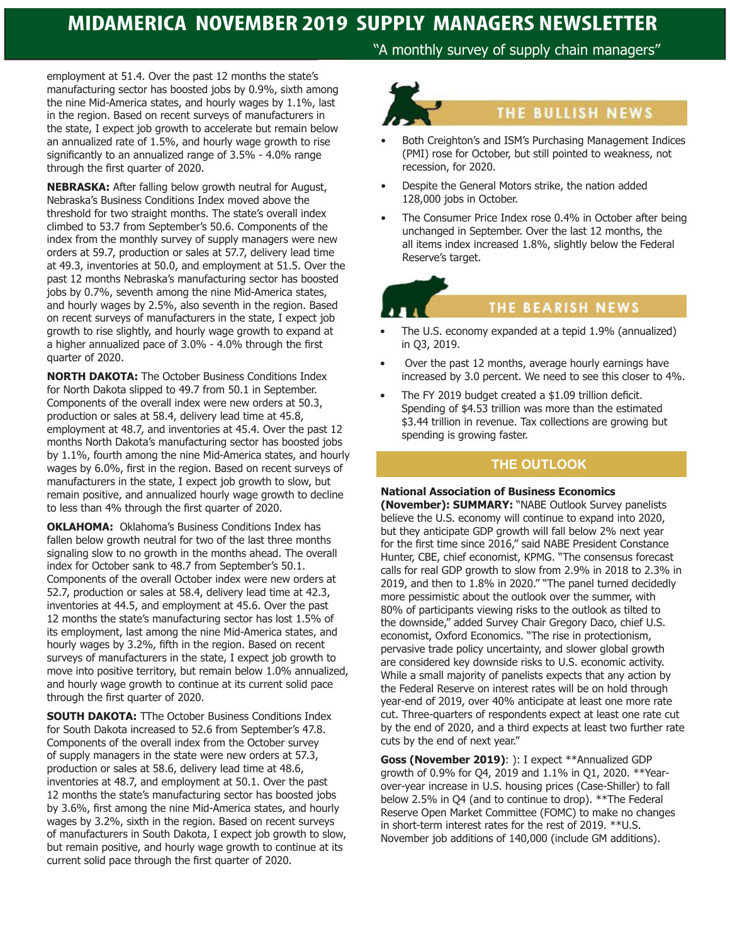# **MIDAMERICA NOVEMBER 2019 SUPPLY MANAGERS NEWSLETTER**

employment at 51.4. Over the past 12 months the state's manufacturing sector has boosted jobs by 0.9%, sixth among the nine Mid-America states, and hourly wages by 1.1%, last in the region. Based on recent surveys of manufacturers in the state, I expect job growth to accelerate but remain below an annualized rate of 1.5%, and hourly wage growth to rise significantly to an annualized range of 3.5% - 4.0% range through the first quarter of 2020.

**NEBRASKA:** After falling below growth neutral for August, Nebraska's Business Conditions Index moved above the threshold for two straight months. The state's overall index climbed to 53.7 from September's 50.6. Components of the index from the monthly survey of supply managers were new orders at 59.7, production or sales at 57.7, delivery lead time at 49.3, inventories at 50.0, and employment at 51.5. Over the past 12 months Nebraska's manufacturing sector has boosted jobs by 0.7%, seventh among the nine Mid-America states, and hourly wages by 2.5%, also seventh in the region. Based on recent surveys of manufacturers in the state, I expect job growth to rise slightly, and hourly wage growth to expand at a higher annualized pace of 3.0% - 4.0% through the first quarter of 2020.

**NORTH DAKOTA:** The October Business Conditions Index for North Dakota slipped to 49.7 from 50.1 in September. Components of the overall index were new orders at 50.3, production or sales at 58.4, delivery lead time at 45.8, employment at 48.7, and inventories at 45.4. Over the past 12 months North Dakota's manufacturing sector has boosted jobs by 1.1%, fourth among the nine Mid-America states, and hourly wages by 6.0%, first in the region. Based on recent surveys of manufacturers in the state, I expect job growth to slow, but remain positive, and annualized hourly wage growth to decline to less than 4% through the first quarter of 2020.

**OKLAHOMA:** Oklahoma's Business Conditions Index has fallen below growth neutral for two of the last three months signaling slow to no growth in the months ahead. The overall index for October sank to 48.7 from September's 50.1. Components of the overall October index were new orders at 52.7, production or sales at 58.4, delivery lead time at 42.3, inventories at 44.5, and employment at 45.6. Over the past 12 months the state's manufacturing sector has lost 1.5% of its employment, last among the nine Mid-America states, and hourly wages by 3.2%, fifth in the region. Based on recent surveys of manufacturers in the state, I expect job growth to move into positive territory, but remain below 1.0% annualized, and hourly wage growth to continue at its current solid pace through the first quarter of 2020.

**SOUTH DAKOTA:** TThe October Business Conditions Index for South Dakota increased to 52.6 from September's 47.8. Components of the overall index from the October survey of supply managers in the state were new orders at 57.3, production or sales at 58.6, delivery lead time at 48.6, inventories at 48.7, and employment at 50.1. Over the past 12 months the state's manufacturing sector has boosted jobs by 3.6%, first among the nine Mid-America states, and hourly wages by 3.2%, sixth in the region. Based on recent surveys of manufacturers in South Dakota, I expect job growth to slow, but remain positive, and hourly wage growth to continue at its current solid pace through the first quarter of 2020.

"A monthly survey of supply chain managers"



- Both Creighton's and ISM's Purchasing Management Indices (PMI) rose for October, but still pointed to weakness, not recession, for 2020.
- Despite the General Motors strike, the nation added 128,000 jobs in October.
- The Consumer Price Index rose 0.4% in October after being unchanged in September. Over the last 12 months, the all items index increased 1.8%, slightly below the Federal Reserve's target.

# **THE BEARISH NEWS**

- The U.S. economy expanded at a tepid 1.9% (annualized) in Q3, 2019.
- Over the past 12 months, average hourly earnings have increased by 3.0 percent. We need to see this closer to 4%.
- The FY 2019 budget created a \$1.09 trillion deficit. Spending of \$4.53 trillion was more than the estimated \$3.44 trillion in revenue. Tax collections are growing but spending is growing faster.

# **THE OUTLOOK**

# **National Association of Business Economics**

**(November): SUMMARY:** "NABE Outlook Survey panelists believe the U.S. economy will continue to expand into 2020, but they anticipate GDP growth will fall below 2% next year for the first time since 2016," said NABE President Constance Hunter, CBE, chief economist, KPMG. "The consensus forecast calls for real GDP growth to slow from 2.9% in 2018 to 2.3% in 2019, and then to 1.8% in 2020." "The panel turned decidedly more pessimistic about the outlook over the summer, with 80% of participants viewing risks to the outlook as tilted to the downside," added Survey Chair Gregory Daco, chief U.S. economist, Oxford Economics. "The rise in protectionism, pervasive trade policy uncertainty, and slower global growth are considered key downside risks to U.S. economic activity. While a small majority of panelists expects that any action by the Federal Reserve on interest rates will be on hold through year-end of 2019, over 40% anticipate at least one more rate cut. Three-quarters of respondents expect at least one rate cut by the end of 2020, and a third expects at least two further rate cuts by the end of next year."

**Goss (November 2019)**: ): I expect \*\*Annualized GDP growth of 0.9% for Q4, 2019 and 1.1% in Q1, 2020. \*\*Yearover-year increase in U.S. housing prices (Case-Shiller) to fall below 2.5% in Q4 (and to continue to drop). \*\*The Federal Reserve Open Market Committee (FOMC) to make no changes in short-term interest rates for the rest of 2019. \*\*U.S. November job additions of 140,000 (include GM additions).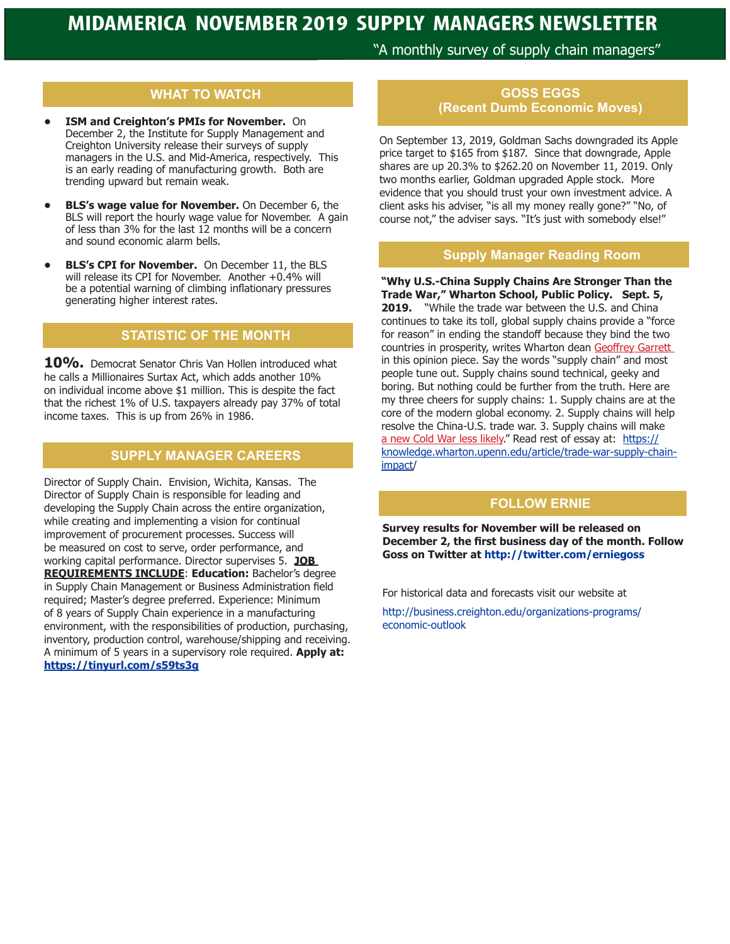"A monthly survey of supply chain managers"

# **WHAT TO WATCH**

- **• ISM and Creighton's PMIs for November.** On December 2, the Institute for Supply Management and Creighton University release their surveys of supply managers in the U.S. and Mid-America, respectively. This is an early reading of manufacturing growth. Both are trending upward but remain weak.
- **• BLS's wage value for November.** On December 6, the BLS will report the hourly wage value for November. A gain of less than 3% for the last 12 months will be a concern and sound economic alarm bells.
- **• BLS's CPI for November.** On December 11, the BLS will release its CPI for November. Another +0.4% will be a potential warning of climbing inflationary pressures generating higher interest rates.

### **STATISTIC OF THE MONTH**

**10%.** Democrat Senator Chris Van Hollen introduced what he calls a Millionaires Surtax Act, which adds another 10% on individual income above \$1 million. This is despite the fact that the richest 1% of U.S. taxpayers already pay 37% of total income taxes. This is up from 26% in 1986.

# **SUPPLY MANAGER CAREERS**

Director of Supply Chain. Envision, Wichita, Kansas. The Director of Supply Chain is responsible for leading and developing the Supply Chain across the entire organization, while creating and implementing a vision for continual improvement of procurement processes. Success will be measured on cost to serve, order performance, and working capital performance. Director supervises 5. **JOB REQUIREMENTS INCLUDE**: **Education:** Bachelor's degree in Supply Chain Management or Business Administration field required; Master's degree preferred. Experience: Minimum of 8 years of Supply Chain experience in a manufacturing environment, with the responsibilities of production, purchasing, inventory, production control, warehouse/shipping and receiving. A minimum of 5 years in a supervisory role required. **Apply at: https://tinyurl.com/s59ts3g**

# **GOSS EGGS (Recent Dumb Economic Moves)**

On September 13, 2019, Goldman Sachs downgraded its Apple price target to \$165 from \$187. Since that downgrade, Apple shares are up 20.3% to \$262.20 on November 11, 2019. Only two months earlier, Goldman upgraded Apple stock. More evidence that you should trust your own investment advice. A client asks his adviser, "is all my money really gone?" "No, of course not," the adviser says. "It's just with somebody else!"

#### **Supply Manager Reading Room**

**"Why U.S.-China Supply Chains Are Stronger Than the Trade War," Wharton School, Public Policy. Sept. 5, 2019.** "While the trade war between the U.S. and China continues to take its toll, global supply chains provide a "force for reason" in ending the standoff because they bind the two countries in prosperity, writes Wharton dean Geoffrey Garrett in this opinion piece. Say the words "supply chain" and most people tune out. Supply chains sound technical, geeky and boring. But nothing could be further from the truth. Here are my three cheers for supply chains: 1. Supply chains are at the core of the modern global economy. 2. Supply chains will help resolve the China-U.S. trade war. 3. Supply chains will make a new Cold War less likely." Read rest of essay at: https:// knowledge.wharton.upenn.edu/article/trade-war-supply-chainimpact/

# **FOLLOW ERNIE**

**Survey results for November will be released on December 2, the first business day of the month. Follow Goss on Twitter at http://twitter.com/erniegoss**

For historical data and forecasts visit our website at

http://business.creighton.edu/organizations-programs/ economic-outlook